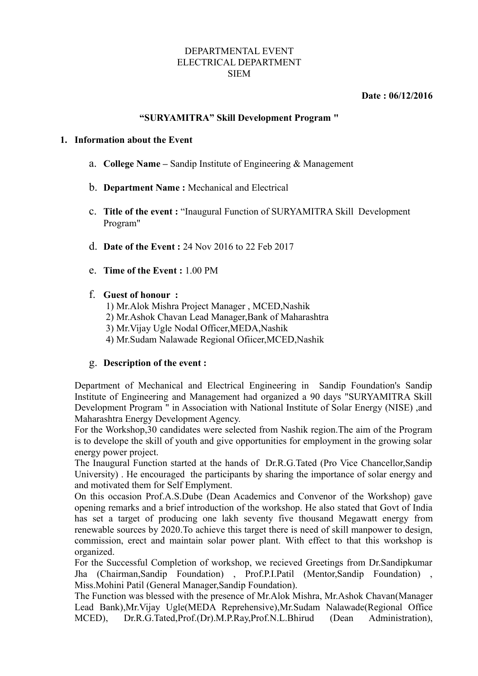#### DEPARTMENTAL EVENT ELECTRICAL DEPARTMENT SIEM

 **Date : 06/12/2016**

# **"SURYAMITRA" Skill Development Program "**

### **1. Information about the Event**

- a. **College Name** Sandip Institute of Engineering & Management
- b. **Department Name :** Mechanical and Electrical
- c. **Title of the event :** "Inaugural Function of SURYAMITRA Skill Development Program"
- d. **Date of the Event :** 24 Nov 2016 to 22 Feb 2017
- e. **Time of the Event :** 1.00 PM
- f. **Guest of honour :**
	- 1) Mr.Alok Mishra Project Manager , MCED,Nashik
	- 2) Mr.Ashok Chavan Lead Manager,Bank of Maharashtra
	- 3) Mr.Vijay Ugle Nodal Officer,MEDA,Nashik
	- 4) Mr.Sudam Nalawade Regional Ofiicer,MCED,Nashik

# g. **Description of the event :**

Department of Mechanical and Electrical Engineering in Sandip Foundation's Sandip Institute of Engineering and Management had organized a 90 days "SURYAMITRA Skill Development Program " in Association with National Institute of Solar Energy (NISE) ,and Maharashtra Energy Development Agency.

For the Workshop,30 candidates were selected from Nashik region.The aim of the Program is to develope the skill of youth and give opportunities for employment in the growing solar energy power project.

The Inaugural Function started at the hands of Dr.R.G.Tated (Pro Vice Chancellor,Sandip University) . He encouraged the participants by sharing the importance of solar energy and and motivated them for Self Emplyment.

On this occasion Prof.A.S.Dube (Dean Academics and Convenor of the Workshop) gave opening remarks and a brief introduction of the workshop. He also stated that Govt of India has set a target of producing one lakh seventy five thousand Megawatt energy from renewable sources by 2020.To achieve this target there is need of skill manpower to design, commission, erect and maintain solar power plant. With effect to that this workshop is organized.

For the Successful Completion of workshop, we recieved Greetings from Dr.Sandipkumar Jha (Chairman,Sandip Foundation) , Prof.P.I.Patil (Mentor,Sandip Foundation) , Miss.Mohini Patil (General Manager,Sandip Foundation).

The Function was blessed with the presence of Mr.Alok Mishra, Mr.Ashok Chavan(Manager Lead Bank),Mr.Vijay Ugle(MEDA Reprehensive),Mr.Sudam Nalawade(Regional Office MCED), Dr.R.G.Tated,Prof.(Dr).M.P.Ray,Prof.N.L.Bhirud (Dean Administration),